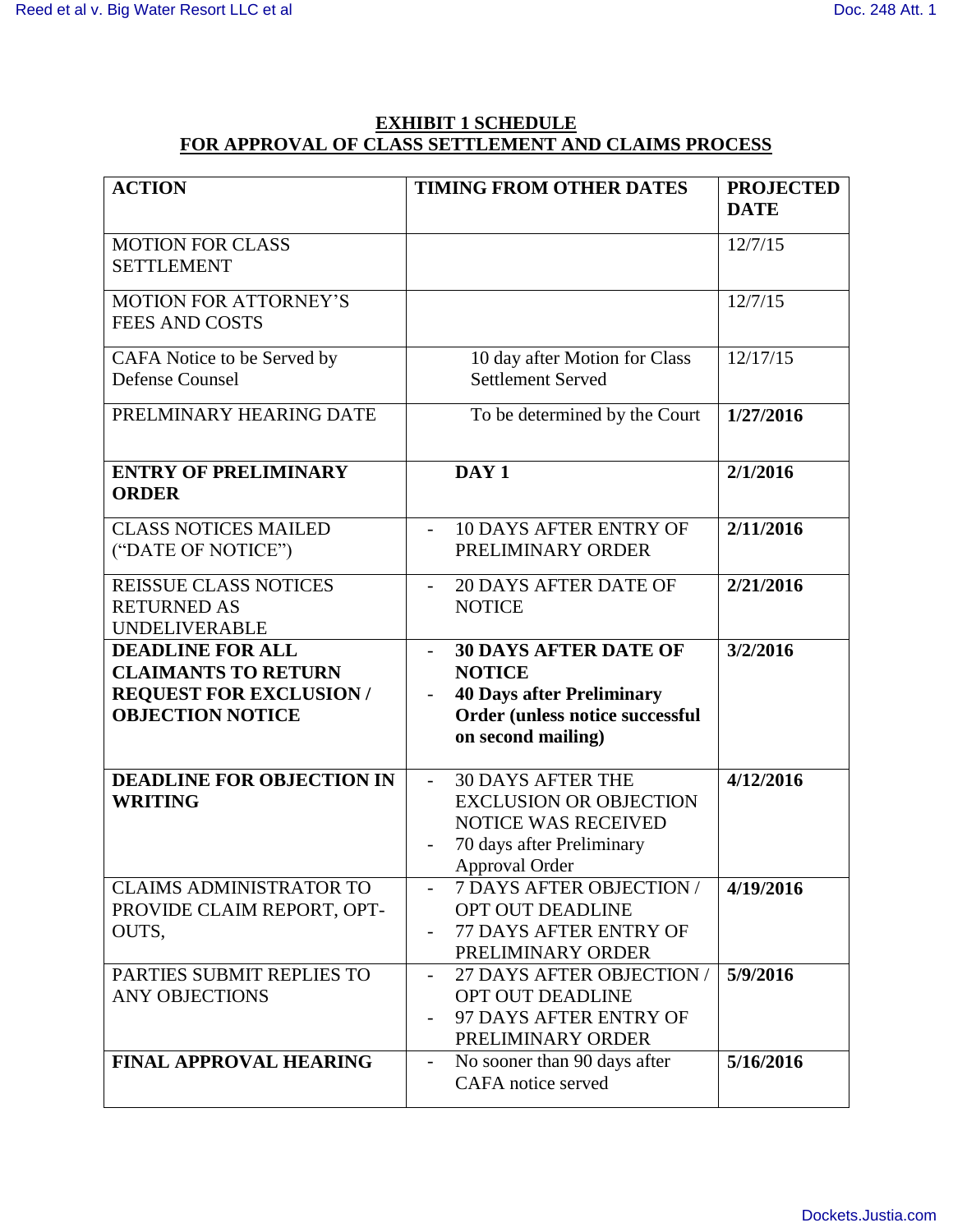## **EXHIBIT 1 SCHEDULE FOR APPROVAL OF CLASS SETTLEMENT AND CLAIMS PROCESS**

| <b>ACTION</b>                                                                                                      | <b>TIMING FROM OTHER DATES</b>                                                                                                                                  | <b>PROJECTED</b><br><b>DATE</b> |
|--------------------------------------------------------------------------------------------------------------------|-----------------------------------------------------------------------------------------------------------------------------------------------------------------|---------------------------------|
| <b>MOTION FOR CLASS</b><br><b>SETTLEMENT</b>                                                                       |                                                                                                                                                                 | 12/7/15                         |
| <b>MOTION FOR ATTORNEY'S</b><br><b>FEES AND COSTS</b>                                                              |                                                                                                                                                                 | 12/7/15                         |
| CAFA Notice to be Served by<br><b>Defense Counsel</b>                                                              | 10 day after Motion for Class<br><b>Settlement Served</b>                                                                                                       | 12/17/15                        |
| PRELMINARY HEARING DATE                                                                                            | To be determined by the Court                                                                                                                                   | 1/27/2016                       |
| <b>ENTRY OF PRELIMINARY</b><br><b>ORDER</b>                                                                        | DAY <sub>1</sub>                                                                                                                                                | 2/1/2016                        |
| <b>CLASS NOTICES MAILED</b><br>("DATE OF NOTICE")                                                                  | <b>10 DAYS AFTER ENTRY OF</b><br>$\overline{a}$<br>PRELIMINARY ORDER                                                                                            | 2/11/2016                       |
| <b>REISSUE CLASS NOTICES</b><br><b>RETURNED AS</b><br><b>UNDELIVERABLE</b>                                         | <b>20 DAYS AFTER DATE OF</b><br><b>NOTICE</b>                                                                                                                   | 2/21/2016                       |
| <b>DEADLINE FOR ALL</b><br><b>CLAIMANTS TO RETURN</b><br><b>REQUEST FOR EXCLUSION /</b><br><b>OBJECTION NOTICE</b> | <b>30 DAYS AFTER DATE OF</b><br><b>NOTICE</b><br><b>40 Days after Preliminary</b><br>Order (unless notice successful<br>on second mailing)                      | 3/2/2016                        |
| <b>DEADLINE FOR OBJECTION IN</b><br><b>WRITING</b>                                                                 | <b>30 DAYS AFTER THE</b><br>$\blacksquare$<br><b>EXCLUSION OR OBJECTION</b><br><b>NOTICE WAS RECEIVED</b><br>70 days after Preliminary<br><b>Approval Order</b> | 4/12/2016                       |
| <b>CLAIMS ADMINISTRATOR TO</b><br>PROVIDE CLAIM REPORT, OPT-<br>OUTS,                                              | 7 DAYS AFTER OBJECTION /<br>OPT OUT DEADLINE<br>77 DAYS AFTER ENTRY OF<br>PRELIMINARY ORDER                                                                     | 4/19/2016                       |
| PARTIES SUBMIT REPLIES TO<br><b>ANY OBJECTIONS</b>                                                                 | 27 DAYS AFTER OBJECTION /<br>OPT OUT DEADLINE<br>97 DAYS AFTER ENTRY OF<br>PRELIMINARY ORDER                                                                    | 5/9/2016                        |
| <b>FINAL APPROVAL HEARING</b>                                                                                      | No sooner than 90 days after<br>$\qquad \qquad -$<br>CAFA notice served                                                                                         | 5/16/2016                       |